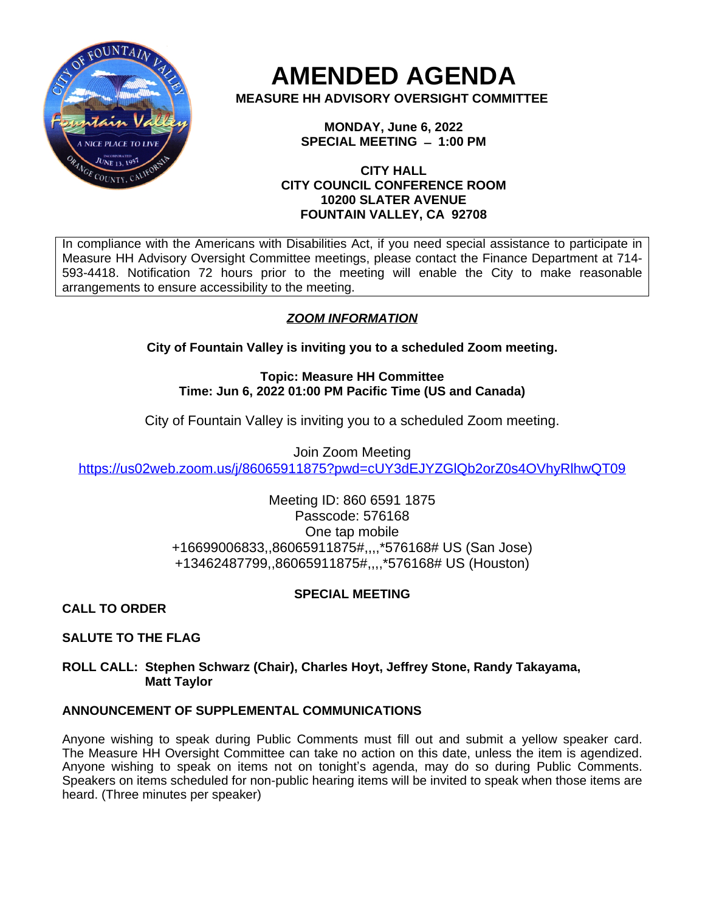

**AMENDED AGENDA**

**MEASURE HH ADVISORY OVERSIGHT COMMITTEE**

**MONDAY, June 6, 2022 SPECIAL MEETING ̶ 1:00 PM**

## **CITY HALL CITY COUNCIL CONFERENCE ROOM 10200 SLATER AVENUE FOUNTAIN VALLEY, CA 92708**

In compliance with the Americans with Disabilities Act, if you need special assistance to participate in Measure HH Advisory Oversight Committee meetings, please contact the Finance Department at 714- 593-4418. Notification 72 hours prior to the meeting will enable the City to make reasonable arrangements to ensure accessibility to the meeting.

# *ZOOM INFORMATION*

**City of Fountain Valley is inviting you to a scheduled Zoom meeting.**

**Topic: Measure HH Committee Time: Jun 6, 2022 01:00 PM Pacific Time (US and Canada)**

City of Fountain Valley is inviting you to a scheduled Zoom meeting.

Join Zoom Meeting <https://us02web.zoom.us/j/86065911875?pwd=cUY3dEJYZGlQb2orZ0s4OVhyRlhwQT09>

> Meeting ID: 860 6591 1875 Passcode: 576168 One tap mobile +16699006833,,86065911875#,,,,\*576168# US (San Jose) +13462487799,,86065911875#,,,,\*576168# US (Houston)

## **SPECIAL MEETING**

**CALL TO ORDER**

**SALUTE TO THE FLAG**

**ROLL CALL: Stephen Schwarz (Chair), Charles Hoyt, Jeffrey Stone, Randy Takayama, Matt Taylor**

## **ANNOUNCEMENT OF SUPPLEMENTAL COMMUNICATIONS**

Anyone wishing to speak during Public Comments must fill out and submit a yellow speaker card. The Measure HH Oversight Committee can take no action on this date, unless the item is agendized. Anyone wishing to speak on items not on tonight's agenda, may do so during Public Comments. Speakers on items scheduled for non-public hearing items will be invited to speak when those items are heard. (Three minutes per speaker)